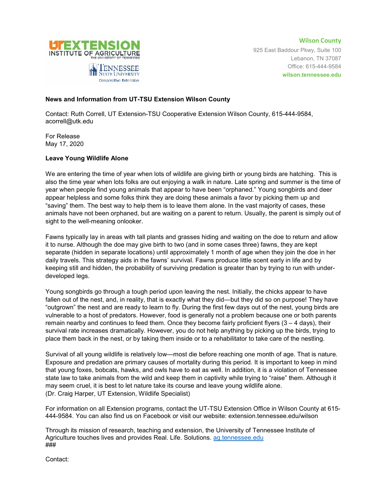

**Wilson County** 925 East Baddour Pkwy, Suite 100 Lebanon, TN 37087 Office: 615-444-9584 **wilson.tennessee.edu**

## **News and Information from UT-TSU Extension Wilson County**

Cooperative Extension

Contact: Ruth Correll, UT Extension-TSU Cooperative Extension Wilson County, 615-444-9584, acorrell@utk.edu

For Release May 17, 2020

## **Leave Young Wildlife Alone**

We are entering the time of year when lots of wildlife are giving birth or young birds are hatching. This is also the time year when lots folks are out enjoying a walk in nature. Late spring and summer is the time of year when people find young animals that appear to have been "orphaned." Young songbirds and deer appear helpless and some folks think they are doing these animals a favor by picking them up and "saving" them. The best way to help them is to leave them alone. In the vast majority of cases, these animals have not been orphaned, but are waiting on a parent to return. Usually, the parent is simply out of sight to the well-meaning onlooker.

Fawns typically lay in areas with tall plants and grasses hiding and waiting on the doe to return and allow it to nurse. Although the doe may give birth to two (and in some cases three) fawns, they are kept separate (hidden in separate locations) until approximately 1 month of age when they join the doe in her daily travels. This strategy aids in the fawns' survival. Fawns produce little scent early in life and by keeping still and hidden, the probability of surviving predation is greater than by trying to run with underdeveloped legs.

Young songbirds go through a tough period upon leaving the nest. Initially, the chicks appear to have fallen out of the nest, and, in reality, that is exactly what they did—but they did so on purpose! They have "outgrown" the nest and are ready to learn to fly. During the first few days out of the nest, young birds are vulnerable to a host of predators. However, food is generally not a problem because one or both parents remain nearby and continues to feed them. Once they become fairly proficient flyers  $(3 - 4 \text{ days})$ , their survival rate increases dramatically. However, you do not help anything by picking up the birds, trying to place them back in the nest, or by taking them inside or to a rehabilitator to take care of the nestling.

Survival of all young wildlife is relatively low—most die before reaching one month of age. That is nature. Exposure and predation are primary causes of mortality during this period. It is important to keep in mind that young foxes, bobcats, hawks, and owls have to eat as well. In addition, it is a violation of Tennessee state law to take animals from the wild and keep them in captivity while trying to "raise" them. Although it may seem cruel, it is best to let nature take its course and leave young wildlife alone. (Dr. Craig Harper, UT Extension, Wildlife Specialist)

For information on all Extension programs, contact the UT-TSU Extension Office in Wilson County at 615- 444-9584. You can also find us on Facebook or visit our website: extension.tennessee.edu/wilson

Through its mission of research, teaching and extension, the University of Tennessee Institute of Agriculture touches lives and provides Real. Life. Solutions. [ag.tennessee.edu](http://ag.tennessee.edu/) ###

Contact: